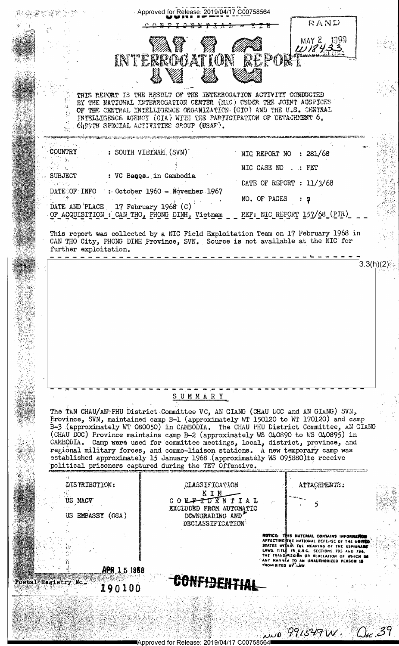|                                     | Approved for Release: 2019/04/17 C00758564                            | RAND                                                                                                                                                                                                                                                                                                                                                                                                                                                                                                                                                                                                      |
|-------------------------------------|-----------------------------------------------------------------------|-----------------------------------------------------------------------------------------------------------------------------------------------------------------------------------------------------------------------------------------------------------------------------------------------------------------------------------------------------------------------------------------------------------------------------------------------------------------------------------------------------------------------------------------------------------------------------------------------------------|
|                                     | AT Y<br>INTERROGATION REPORT                                          | MAY 2 1990                                                                                                                                                                                                                                                                                                                                                                                                                                                                                                                                                                                                |
|                                     | 619979 SFECIAL ACTIVITIES GROUP (USAF).                               | THIS REPORT IS THE RESULT OF THE INTERROGATION ACTIVITY CONDUCTED<br>BY THE NATIONAL INTERROGATION CENTER (MIC) UNDER THE JOINT AUSPICES<br>OF THE CENTRAL INTELLIGENCE ORGANIZATION (CIO) AND THE U.S. CENTRAL<br><b>INTELLIGENCE AGENCY (CIA) WITH THE PARTICIPATION OF DETACHMENT <math>6</math>,</b>                                                                                                                                                                                                                                                                                                  |
| <b>COUNTRY</b>                      | : SOUTH VIETNAM, (SVN)                                                | NIC REPORT NO : 281/68                                                                                                                                                                                                                                                                                                                                                                                                                                                                                                                                                                                    |
| <b>SUBJECT</b>                      | : VC Baaes in Cambodia                                                | NIC CASE NO: FET                                                                                                                                                                                                                                                                                                                                                                                                                                                                                                                                                                                          |
|                                     |                                                                       | DATE OF REPORT : 11/3/68                                                                                                                                                                                                                                                                                                                                                                                                                                                                                                                                                                                  |
| DATE OF INFO                        | $\therefore$ October 1960 - November 1967                             | NO. OF PAGES                                                                                                                                                                                                                                                                                                                                                                                                                                                                                                                                                                                              |
| DATE AND PLACE 17 February 1968 (C) | OF ACQUISITION : CAN THO, PHONG DINH, Vietnam                         | REF: NIC REPORT 157/68 (PIR)                                                                                                                                                                                                                                                                                                                                                                                                                                                                                                                                                                              |
| further exploitation.               |                                                                       | This report was collected by a NIC Field Exploitation Team on 17 February 1968 in<br>CAN THO City, PHONG DINH Province, SVN. Source is not available at the NIC for                                                                                                                                                                                                                                                                                                                                                                                                                                       |
|                                     |                                                                       |                                                                                                                                                                                                                                                                                                                                                                                                                                                                                                                                                                                                           |
|                                     | SUMMARY                                                               |                                                                                                                                                                                                                                                                                                                                                                                                                                                                                                                                                                                                           |
|                                     | political prisoners captured during the TET Offensive.                | The TAN CHAU/AN PHU District Committee VC, AN GIANG (CHAU DOC and AN GIANG) SVN,<br>Frovince, SVN, maintained camp B-1 (approximately WT 150120 to WT 170120) and camp<br>B-3 (approximately WT 080050) in CAMBODIA. The CHAU PHU District Committee, AN GIANG<br>(CHAU DOC) Province maintains camp B-2 (approximately WS 040890 to WS 040895) in<br>CAMBODIA. Camp were used for committee meetings, local, district, province, and<br>regional military forces, and commo-liaison stations. A new temporary camp was<br>established approximately 15 January 1968 (approximately WS 095880) to receive |
| DISTRIBUTION:                       | CLASSIFICATION                                                        | ATTACHMENTS:                                                                                                                                                                                                                                                                                                                                                                                                                                                                                                                                                                                              |
| US MACV                             | KIN<br>CONFIDENTIAI                                                   |                                                                                                                                                                                                                                                                                                                                                                                                                                                                                                                                                                                                           |
| US EMBASSY (OSA)                    | EXCLUDED FROM AUTOMATIC<br>DOWNGRADING AND<br><b>DECLASSIFICATION</b> |                                                                                                                                                                                                                                                                                                                                                                                                                                                                                                                                                                                                           |
| APR 15 1968                         |                                                                       | <b>MOTICE: THIS MATERIAL CONTAINS INFORMATED</b><br>AFFECTING THE NATIONAL DEFENSE OF THE UNITED<br>STATES WITHIN THE MEANING OF THE ESPIONACE<br>LAWS. TITIN 18 U.S.C., SECTIONS 793 AND 794.<br>THE TRANSHASSION OR REVELATION OF WHICH IN<br>ANY MANNËN TO AN UNAUTHORIZED PERSON IS<br><b>PROMIBITED BY LAW</b>                                                                                                                                                                                                                                                                                       |
| Postal Registry No.<br>190100       |                                                                       |                                                                                                                                                                                                                                                                                                                                                                                                                                                                                                                                                                                                           |
|                                     |                                                                       |                                                                                                                                                                                                                                                                                                                                                                                                                                                                                                                                                                                                           |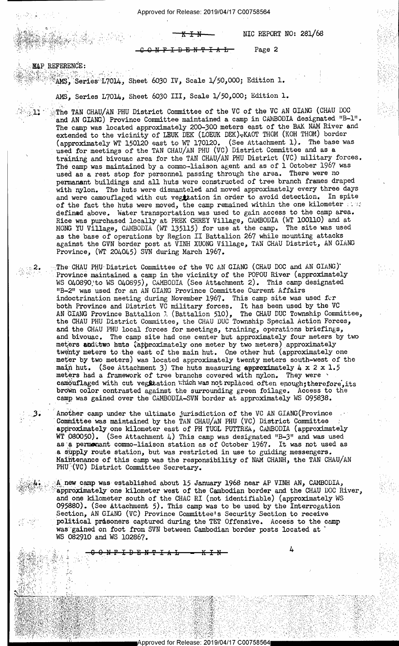Approved for Release: 2019/04/17 C00758564

NIC REPORT NO: 281/68

Page 2

<del>-N - T</del> <del>I A</del>

MAP REFERENCE:

⊹.2.

 $\mathbb{R}$ AMS, Series L7014, Sheet 6030 IV, Scale 1/50,000; Edition 1.

AMS, Series L7014, Sheet 6030 III, Scale 1/50,000; Edition 1.

The TAN CHAU/AN PHU District Committee of the VC of the VC AN GIANG (CHAU DOC and AN GIANG) Province Committee maintained a camp in CAMBODIA designated "B-1". The camp was located approximately 200-300 meters east of the BAK NAM River and extended to the vicinity of LEUK DEK (LOEUK DEK)-KAOT THOM (KOH THOM) border (approximately WT 150120 east to WT 170120. (See Attachment 1). The base was used for meetings of the TAN CHAU/AN PHU (VC) District Committee and as a training and bivouac area for the TAN CHAU/AN PHU District (VC) military forces. The camp was maintained by a commo-liaison agent and as of 1 October 1967 was used as a rest stop for personnel passing through the area. There were no permanant buildings and all huts were constructed of tree branch frames draped with nylon. The huts were dismanteled and moved approximately every three days and were camouflaged with cut vegttation in order to avoid detection. In spite of the fact the huts were moved, the camp remained within the one kilometer . defined above. Water transportation was used to gain access to the camp area. Rice was purchased locally at PREK CHREY Village, CAMBODIA (WT 100110) and at MONG YU Village, CAMBODIA (WT 135115) for use at the camp. The site was used as the base of operations by Region II Battalion 267 while mounting attacks against the GVN border post at VINH XUONG Village, TAN CHAU District, AN GIANG Province, (WT 204045) SVN during March 1967.

The CHAU PHU District Committee of the VC AN GIANG (CHAU DOC and AN GIANG) Province maintained a camp in the vicinity of the POPOU River (approximately WS 040890 to WS 040895), CAMBODIA (See Attachment 2). This camp designated "B-2" was used for an AN GIANG Province Committee Current Affairs indoctrination meeting during November 1967. This camp site was used for both Province and District VC military forces. It has been used by the VC<br>AN GIANG Province Battalion 1 (Battalion 510), The CHAU DUC Township Committee,<br>the CHAU PHU District Committee, the CHAU DUC Township Special Actio and the CHAU PHU local forces for meetings, training, operations briefings, and bivouac. The camp site had one center hut approximately four meters by two meters and two hats (approximately one meter by two meters) approximately twenty meters to the east of the main hut. One other hut (approximately one meter by two meters) was located approximately twenty meters south-west of the (See Attachment 3) The huts measuring approximately  $4 \times 2 \times 1.5$ main hut. meters had a framework of tree branchs covered with nylon. They were camouflaged with cut vegltation which was not replaced often enough; therefore, its brown color contrasted against the surrounding green foilage. Access to the camp was gained over the CAMBODIA-SVN border at approximately WS 095838.

Another camp under the ultimate jurisdiction of the VC AN GIANG (Province Committee was maintained by the TAN CHAU/AN PHU (VC) District Committee approximately one kilometer east of PH TUOL PUTTREA, CAMBODIA (approximately WT 080050). (See Attachment 4) This camp was designated "B-3" and was used as a permonant commo-liaison station as of October 1967. It was not used as a supply route station, but was restricted in use to guiding messengers. Maintenance of this camp was the responsibility of NAM CHANH, the TAN CHAU/AN PHU<sup>5</sup>(VC) District Committee Secretary.

A new camp was established about 15 January 1968 near AP VINH AN, CAMBODIA, approximately one kilometer west of the Cambodian border and the CHAU DOC River, and one kilometer south of the CHAC RI (not identifiable) (approximately WS 095880). (See Attachment 5). This camp was to be used by the Interrogation Section, AN GIANG (VC) Province Committee's Security Section to receive political prisoners captured during the TET Offensive. Access to the camp was gained on foot from SVN between Cambodian border posts located at WS 082910 and WS 102867.

0 N P I D E N T T A L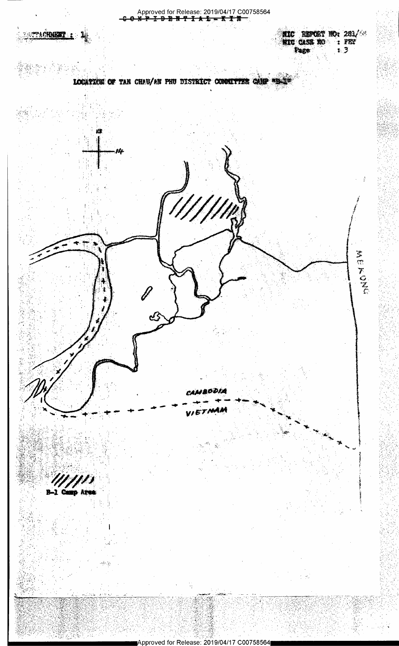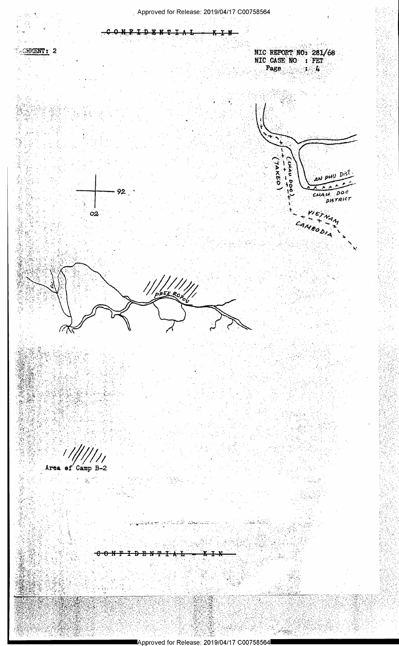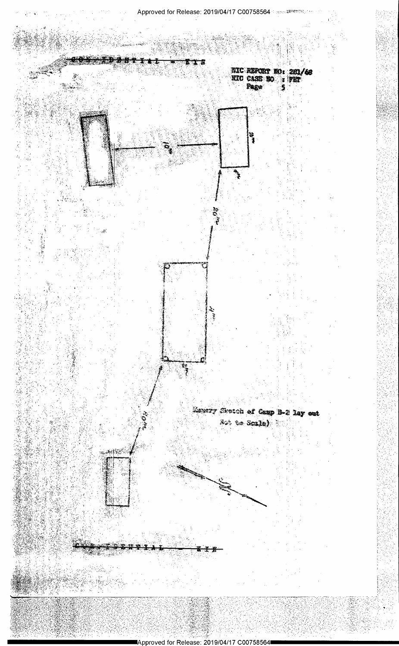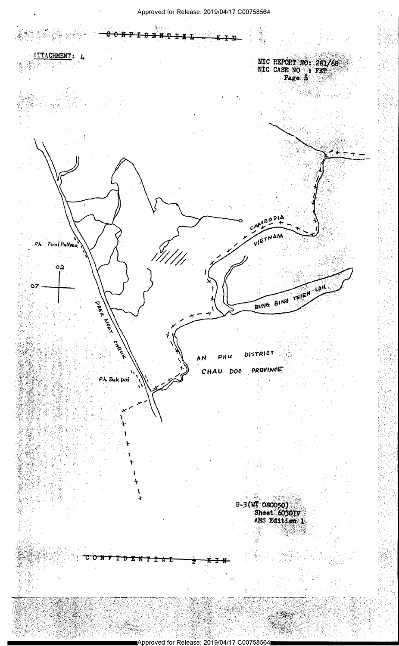